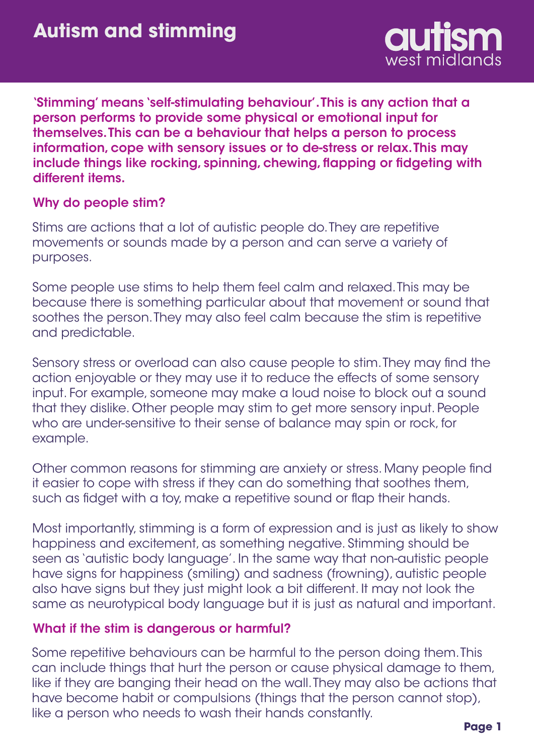

'Stimming' means 'self-stimulating behaviour'. This is any action that a person performs to provide some physical or emotional input for themselves. This can be a behaviour that helps a person to process information, cope with sensory issues or to de-stress or relax. This may include things like rocking, spinning, chewing, flapping or fidgeting with different items.

## Why do people stim?

Stims are actions that a lot of autistic people do. They are repetitive movements or sounds made by a person and can serve a variety of purposes.

Some people use stims to help them feel calm and relaxed. This may be because there is something particular about that movement or sound that soothes the person. They may also feel calm because the stim is repetitive and predictable.

Sensory stress or overload can also cause people to stim. They may find the action enjoyable or they may use it to reduce the effects of some sensory input. For example, someone may make a loud noise to block out a sound that they dislike. Other people may stim to get more sensory input. People who are under-sensitive to their sense of balance may spin or rock, for example.

Other common reasons for stimming are anxiety or stress. Many people find it easier to cope with stress if they can do something that soothes them, such as fidget with a toy, make a repetitive sound or flap their hands.

Most importantly, stimming is a form of expression and is just as likely to show happiness and excitement, as something negative. Stimming should be seen as 'autistic body language'. In the same way that non-autistic people have signs for happiness (smiling) and sadness (frowning), autistic people also have signs but they just might look a bit different. It may not look the same as neurotypical body language but it is just as natural and important.

## What if the stim is dangerous or harmful?

Some repetitive behaviours can be harmful to the person doing them. This can include things that hurt the person or cause physical damage to them, like if they are banging their head on the wall. They may also be actions that have become habit or compulsions (things that the person cannot stop), like a person who needs to wash their hands constantly.